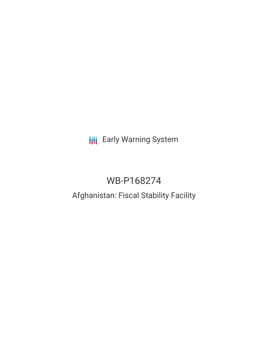# **III** Early Warning System

# WB-P168274

# Afghanistan: Fiscal Stability Facility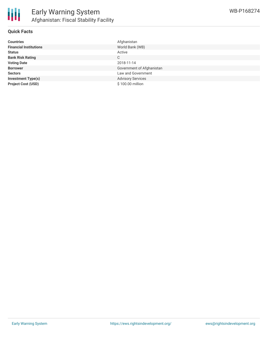

### **Quick Facts**

| <b>Countries</b>              | Afghanistan               |
|-------------------------------|---------------------------|
| <b>Financial Institutions</b> | World Bank (WB)           |
| <b>Status</b>                 | Active                    |
| <b>Bank Risk Rating</b>       | С                         |
| <b>Voting Date</b>            | 2018-11-14                |
| <b>Borrower</b>               | Government of Afghanistan |
| <b>Sectors</b>                | Law and Government        |
| <b>Investment Type(s)</b>     | <b>Advisory Services</b>  |
| <b>Project Cost (USD)</b>     | \$100.00 million          |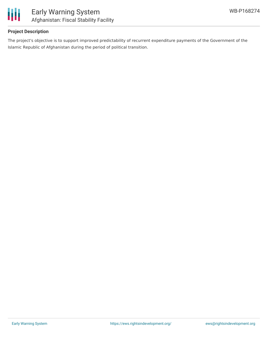

# **Project Description**

The project's objective is to support improved predictability of recurrent expenditure payments of the Government of the Islamic Republic of Afghanistan during the period of political transition.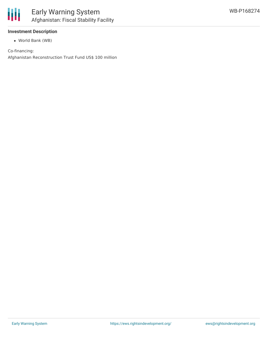

# **Investment Description**

World Bank (WB)

#### Co-financing:

Afghanistan Reconstruction Trust Fund US\$ 100 million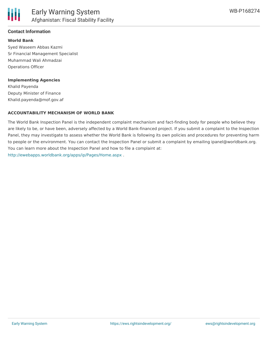

# **Contact Information**

#### **World Bank**

Syed Waseem Abbas Kazmi Sr Financial Management Specialist Muhammad Wali Ahmadzai Operations Officer

#### **Implementing Agencies**

Khalid Payenda Deputy Minister of Finance Khalid.payenda@mof.gov.af

#### **ACCOUNTABILITY MECHANISM OF WORLD BANK**

The World Bank Inspection Panel is the independent complaint mechanism and fact-finding body for people who believe they are likely to be, or have been, adversely affected by a World Bank-financed project. If you submit a complaint to the Inspection Panel, they may investigate to assess whether the World Bank is following its own policies and procedures for preventing harm to people or the environment. You can contact the Inspection Panel or submit a complaint by emailing ipanel@worldbank.org. You can learn more about the Inspection Panel and how to file a complaint at: <http://ewebapps.worldbank.org/apps/ip/Pages/Home.aspx> .